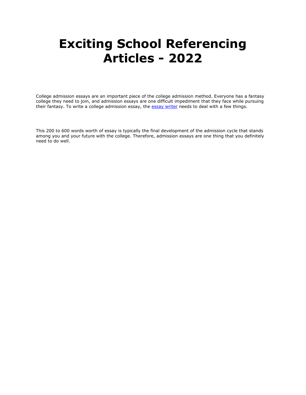# **Exciting School Referencing Articles - 2022**

College admission essays are an important piece of the college admission method. Everyone has a fantasy college they need to join, and admission essays are one difficult impediment that they face while pursuing their fantasy. To write a college admission essay, the [essay writer](https://essayhours.com/) needs to deal with a few things.

This 200 to 600 words worth of essay is typically the final development of the admission cycle that stands among you and your future with the college. Therefore, admission essays are one thing that you definitely need to do well.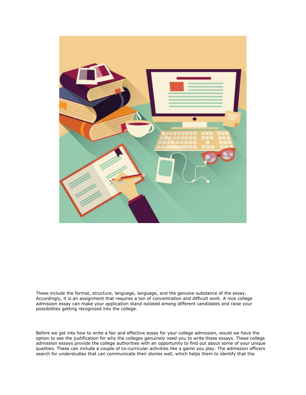

These include the format, structure, language, language, and the genuine substance of the essay. Accordingly, it is an assignment that requires a ton of concentration and difficult work. A nice college admission essay can make your application stand isolated among different candidates and raise your possibilities getting recognized into the college.

Before we get into how to write a fair and effective essay for your college admission, would we have the option to see the justification for why the colleges genuinely need you to write these essays. These college admission essays provide the college authorities with an opportunity to find out about some of your unique qualities. These can include a couple of co-curricular activities like a game you play. The admission officers search for understudies that can communicate their stories well, which helps them to identify that the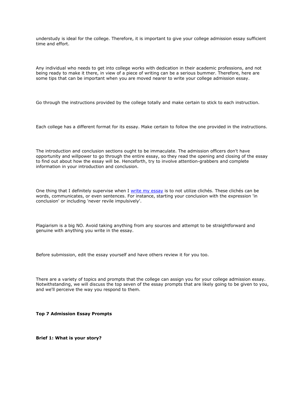understudy is ideal for the college. Therefore, it is important to give your college admission essay sufficient time and effort.

Any individual who needs to get into college works with dedication in their academic professions, and not being ready to make it there, in view of a piece of writing can be a serious bummer. Therefore, here are some tips that can be important when you are moved nearer to write your college admission essay.

Go through the instructions provided by the college totally and make certain to stick to each instruction.

Each college has a different format for its essay. Make certain to follow the one provided in the instructions.

The introduction and conclusion sections ought to be immaculate. The admission officers don't have opportunity and willpower to go through the entire essay, so they read the opening and closing of the essay to find out about how the essay will be. Henceforth, try to involve attention-grabbers and complete information in your introduction and conclusion.

One thing that I definitely supervise when I [write my essay](https://writemyessayfast.net/) is to not utilize clichés. These clichés can be words, communicates, or even sentences. For instance, starting your conclusion with the expression 'in conclusion' or including 'never revile impulsively'.

Plagiarism is a big NO. Avoid taking anything from any sources and attempt to be straightforward and genuine with anything you write in the essay.

Before submission, edit the essay yourself and have others review it for you too.

There are a variety of topics and prompts that the college can assign you for your college admission essay. Notwithstanding, we will discuss the top seven of the essay prompts that are likely going to be given to you, and we'll perceive the way you respond to them.

**Top 7 Admission Essay Prompts**

**Brief 1: What is your story?**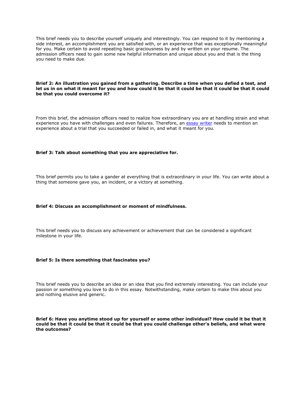This brief needs you to describe yourself uniquely and interestingly. You can respond to it by mentioning a side interest, an accomplishment you are satisfied with, or an experience that was exceptionally meaningful for you. Make certain to avoid repeating basic graciousness by and by written on your resume. The admission officers need to gain some new helpful information and unique about you and that is the thing you need to make due.

## **Brief 2: An illustration you gained from a gathering. Describe a time when you defied a test, and let us in on what it meant for you and how could it be that it could be that it could be that it could be that you could overcome it?**

From this brief, the admission officers need to realize how extraordinary you are at handling strain and what experience you have with challenges and even failures. Therefore, an [essay writer](https://essaywriternow.com/) needs to mention an experience about a trial that you succeeded or failed in, and what it meant for you.

## **Brief 3: Talk about something that you are appreciative for.**

This brief permits you to take a gander at everything that is extraordinary in your life. You can write about a thing that someone gave you, an incident, or a victory at something.

#### **Brief 4: Discuss an accomplishment or moment of mindfulness.**

This brief needs you to discuss any achievement or achievement that can be considered a significant milestone in your life.

### **Brief 5: Is there something that fascinates you?**

This brief needs you to describe an idea or an idea that you find extremely interesting. You can include your passion or something you love to do in this essay. Notwithstanding, make certain to make this about you and nothing elusive and generic.

**Brief 6: Have you anytime stood up for yourself or some other individual? How could it be that it could be that it could be that it could be that you could challenge other's beliefs, and what were the outcomes?**